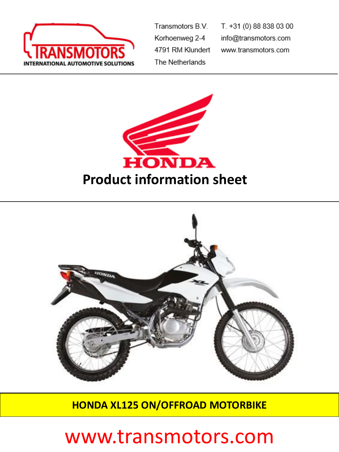

Transmotors B.V. Korhoenweg 2-4 4791 RM Klundert The Netherlands

T. +31 (0) 88 838 03 00 info@transmotors.com www.transmotors.com





**HONDA XL125 ON/OFFROAD MOTORBIKE**

## www.transmotors.com